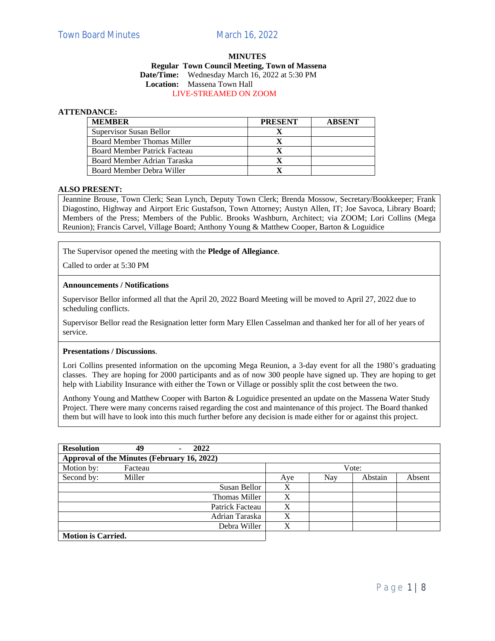# **MINUTES**

#### **Regular Town Council Meeting, Town of Massena Date/Time:** Wednesday March 16, 2022 at 5:30 PM **Location:** Massena Town Hall LIVE-STREAMED ON ZOOM

# **ATTENDANCE:**

| <b>MEMBER</b>                       | <b>PRESENT</b> | <b>ABSENT</b> |
|-------------------------------------|----------------|---------------|
| Supervisor Susan Bellor             |                |               |
| Board Member Thomas Miller          |                |               |
| <b>Board Member Patrick Facteau</b> |                |               |
| Board Member Adrian Taraska         |                |               |
| Board Member Debra Willer           |                |               |

# **ALSO PRESENT:**

Jeannine Brouse, Town Clerk; Sean Lynch, Deputy Town Clerk; Brenda Mossow, Secretary/Bookkeeper; Frank Diagostino, Highway and Airport Eric Gustafson, Town Attorney; Austyn Allen, IT; Joe Savoca, Library Board; Members of the Press; Members of the Public. Brooks Washburn, Architect; via ZOOM; Lori Collins (Mega Reunion); Francis Carvel, Village Board; Anthony Young & Matthew Cooper, Barton & Loguidice

The Supervisor opened the meeting with the **Pledge of Allegiance**.

Called to order at 5:30 PM

# **Announcements / Notifications**

Supervisor Bellor informed all that the April 20, 2022 Board Meeting will be moved to April 27, 2022 due to scheduling conflicts.

Supervisor Bellor read the Resignation letter form Mary Ellen Casselman and thanked her for all of her years of service.

#### **Presentations / Discussions**.

Lori Collins presented information on the upcoming Mega Reunion, a 3-day event for all the 1980's graduating classes. They are hoping for 2000 participants and as of now 300 people have signed up. They are hoping to get help with Liability Insurance with either the Town or Village or possibly split the cost between the two.

Anthony Young and Matthew Cooper with Barton & Loguidice presented an update on the Massena Water Study Project. There were many concerns raised regarding the cost and maintenance of this project. The Board thanked them but will have to look into this much further before any decision is made either for or against this project.

| <b>Resolution</b>                           | 49      | ٠ | 2022 |                 |     |     |         |        |
|---------------------------------------------|---------|---|------|-----------------|-----|-----|---------|--------|
| Approval of the Minutes (February 16, 2022) |         |   |      |                 |     |     |         |        |
| Motion by:                                  | Facteau |   |      |                 |     |     | Vote:   |        |
| Second by:                                  | Miller  |   |      |                 | Aye | Nay | Abstain | Absent |
|                                             |         |   |      | Susan Bellor    | X   |     |         |        |
|                                             |         |   |      | Thomas Miller   | X   |     |         |        |
|                                             |         |   |      | Patrick Facteau | X   |     |         |        |
|                                             |         |   |      | Adrian Taraska  | X   |     |         |        |
|                                             |         |   |      | Debra Willer    | X   |     |         |        |
| <b>Motion is Carried.</b>                   |         |   |      |                 |     |     |         |        |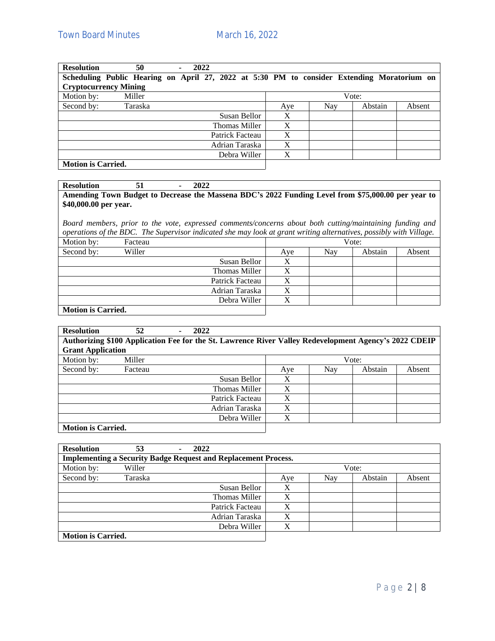| <b>Resolution</b>                                                                          |         | 50 | ٠ | 2022 |                 |  |     |     |       |         |        |
|--------------------------------------------------------------------------------------------|---------|----|---|------|-----------------|--|-----|-----|-------|---------|--------|
| Scheduling Public Hearing on April 27, 2022 at 5:30 PM to consider Extending Moratorium on |         |    |   |      |                 |  |     |     |       |         |        |
| <b>Cryptocurrency Mining</b>                                                               |         |    |   |      |                 |  |     |     |       |         |        |
| Motion by:                                                                                 | Miller  |    |   |      |                 |  |     |     | Vote: |         |        |
| Second by:                                                                                 | Taraska |    |   |      |                 |  | Aye | Nay |       | Abstain | Absent |
|                                                                                            |         |    |   |      | Susan Bellor    |  | X   |     |       |         |        |
|                                                                                            |         |    |   |      | Thomas Miller   |  | X   |     |       |         |        |
|                                                                                            |         |    |   |      | Patrick Facteau |  | X   |     |       |         |        |
|                                                                                            |         |    |   |      | Adrian Taraska  |  | X   |     |       |         |        |
|                                                                                            |         |    |   |      | Debra Willer    |  | X   |     |       |         |        |
| <b>Motion is Carried.</b>                                                                  |         |    |   |      |                 |  |     |     |       |         |        |

**Resolution 51 - 2022**

**Amending Town Budget to Decrease the Massena BDC's 2022 Funding Level from \$75,000.00 per year to \$40,000.00 per year.**

*Board members, prior to the vote, expressed comments/concerns about both cutting/maintaining funding and operations of the BDC. The Supervisor indicated she may look at grant writing alternatives, possibly with Village.*

| Motion by:                | Facteau |                 |     |     | Vote:   |        |
|---------------------------|---------|-----------------|-----|-----|---------|--------|
| Second by:                | Willer  |                 | Aye | Nay | Abstain | Absent |
|                           |         | Susan Bellor    | △   |     |         |        |
|                           |         | Thomas Miller   |     |     |         |        |
|                           |         | Patrick Facteau |     |     |         |        |
|                           |         | Adrian Taraska  |     |     |         |        |
|                           |         | Debra Willer    |     |     |         |        |
| <b>Motion is Carried.</b> |         |                 |     |     |         |        |

**Motion is Carried.**

| <b>Resolution</b>         | 52      | ۰ | 2022                                                                                                  |     |     |         |        |
|---------------------------|---------|---|-------------------------------------------------------------------------------------------------------|-----|-----|---------|--------|
|                           |         |   | Authorizing \$100 Application Fee for the St. Lawrence River Valley Redevelopment Agency's 2022 CDEIP |     |     |         |        |
| <b>Grant Application</b>  |         |   |                                                                                                       |     |     |         |        |
| Motion by:                | Miller  |   |                                                                                                       |     |     | Vote:   |        |
| Second by:                | Facteau |   |                                                                                                       | Aye | Nay | Abstain | Absent |
|                           |         |   | Susan Bellor                                                                                          | X   |     |         |        |
|                           |         |   | Thomas Miller                                                                                         | X   |     |         |        |
|                           |         |   | Patrick Facteau                                                                                       | X   |     |         |        |
|                           |         |   | Adrian Taraska                                                                                        | X   |     |         |        |
|                           |         |   | Debra Willer                                                                                          | X   |     |         |        |
| <b>Motion is Carried.</b> |         |   |                                                                                                       |     |     |         |        |

| <b>Resolution</b>         | 53      | ۰. | 2022 |                                                                       |     |     |         |        |
|---------------------------|---------|----|------|-----------------------------------------------------------------------|-----|-----|---------|--------|
|                           |         |    |      | <b>Implementing a Security Badge Request and Replacement Process.</b> |     |     |         |        |
| Motion by:                | Willer  |    |      |                                                                       |     |     | Vote:   |        |
| Second by:                | Taraska |    |      |                                                                       | Aye | Nay | Abstain | Absent |
|                           |         |    |      | Susan Bellor                                                          | X   |     |         |        |
|                           |         |    |      | Thomas Miller                                                         | X   |     |         |        |
|                           |         |    |      | Patrick Facteau                                                       | X   |     |         |        |
|                           |         |    |      | Adrian Taraska                                                        | X   |     |         |        |
|                           |         |    |      | Debra Willer                                                          | X   |     |         |        |
| <b>Motion is Carried.</b> |         |    |      |                                                                       |     |     |         |        |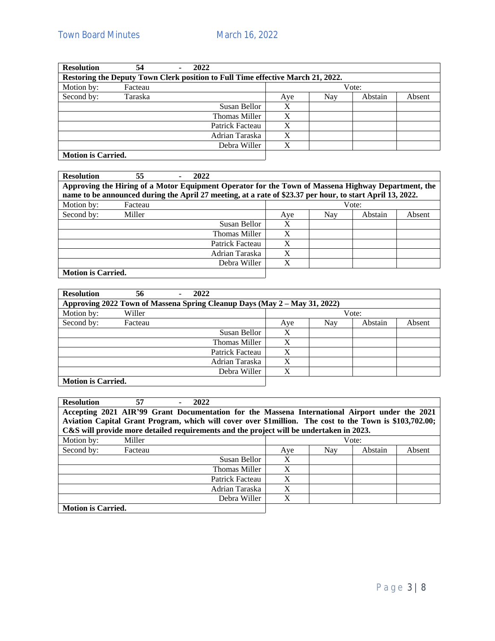| <b>Resolution</b>         | 54      | 2022                                                                            |     |     |         |        |
|---------------------------|---------|---------------------------------------------------------------------------------|-----|-----|---------|--------|
|                           |         | Restoring the Deputy Town Clerk position to Full Time effective March 21, 2022. |     |     |         |        |
| Motion by:                | Facteau |                                                                                 |     |     | Vote:   |        |
| Second by:                | Taraska |                                                                                 | Aye | Nay | Abstain | Absent |
|                           |         | Susan Bellor                                                                    | X   |     |         |        |
|                           |         | Thomas Miller                                                                   | X   |     |         |        |
|                           |         | Patrick Facteau                                                                 | X   |     |         |        |
|                           |         | Adrian Taraska                                                                  | X   |     |         |        |
|                           |         | Debra Willer                                                                    | X   |     |         |        |
| <b>Motion is Carried.</b> |         |                                                                                 |     |     |         |        |

| <b>Resolution</b>         | 55      | ۰ | 2022                                                                                                      |     |     |         |        |
|---------------------------|---------|---|-----------------------------------------------------------------------------------------------------------|-----|-----|---------|--------|
|                           |         |   | Approving the Hiring of a Motor Equipment Operator for the Town of Massena Highway Department, the        |     |     |         |        |
|                           |         |   | name to be announced during the April 27 meeting, at a rate of \$23.37 per hour, to start April 13, 2022. |     |     |         |        |
| Motion by:                | Facteau |   |                                                                                                           |     |     | Vote:   |        |
| Second by:                | Miller  |   |                                                                                                           | Aye | Nay | Abstain | Absent |
|                           |         |   | Susan Bellor                                                                                              | X   |     |         |        |
|                           |         |   | Thomas Miller                                                                                             | X   |     |         |        |
|                           |         |   | Patrick Facteau                                                                                           | X   |     |         |        |
|                           |         |   | Adrian Taraska                                                                                            | X   |     |         |        |
|                           |         |   | Debra Willer                                                                                              | X   |     |         |        |
| <b>Motion is Carried.</b> |         |   |                                                                                                           |     |     |         |        |

| <b>Resolution</b>         | 56      | ۰. | 2022 |                                                                           |     |     |         |        |
|---------------------------|---------|----|------|---------------------------------------------------------------------------|-----|-----|---------|--------|
|                           |         |    |      | Approving 2022 Town of Massena Spring Cleanup Days (May 2 – May 31, 2022) |     |     |         |        |
| Motion by:                | Willer  |    |      |                                                                           |     |     | Vote:   |        |
| Second by:                | Facteau |    |      |                                                                           | Aye | Nay | Abstain | Absent |
|                           |         |    |      | Susan Bellor                                                              | X   |     |         |        |
|                           |         |    |      | Thomas Miller                                                             |     |     |         |        |
|                           |         |    |      | Patrick Facteau                                                           | X   |     |         |        |
|                           |         |    |      | Adrian Taraska                                                            | Х   |     |         |        |
|                           |         |    |      | Debra Willer                                                              |     |     |         |        |
| <b>Motion is Carried.</b> |         |    |      |                                                                           |     |     |         |        |

| <b>Resolution</b>         | 57      | 2022                                                                                                     |                 |     |     |         |        |
|---------------------------|---------|----------------------------------------------------------------------------------------------------------|-----------------|-----|-----|---------|--------|
|                           |         | Accepting 2021 AIR'99 Grant Documentation for the Massena International Airport under the 2021           |                 |     |     |         |        |
|                           |         | Aviation Capital Grant Program, which will cover over \$1 million. The cost to the Town is \$103,702.00; |                 |     |     |         |        |
|                           |         | C&S will provide more detailed requirements and the project will be undertaken in 2023.                  |                 |     |     |         |        |
| Motion by:                | Miller  |                                                                                                          |                 |     |     | Vote:   |        |
| Second by:                | Facteau |                                                                                                          |                 | Aye | Nay | Abstain | Absent |
|                           |         |                                                                                                          | Susan Bellor    | X   |     |         |        |
|                           |         |                                                                                                          | Thomas Miller   | X   |     |         |        |
|                           |         |                                                                                                          | Patrick Facteau | X   |     |         |        |
|                           |         |                                                                                                          | Adrian Taraska  | X   |     |         |        |
|                           |         |                                                                                                          | Debra Willer    | X   |     |         |        |
| <b>Motion is Carried.</b> |         |                                                                                                          |                 |     |     |         |        |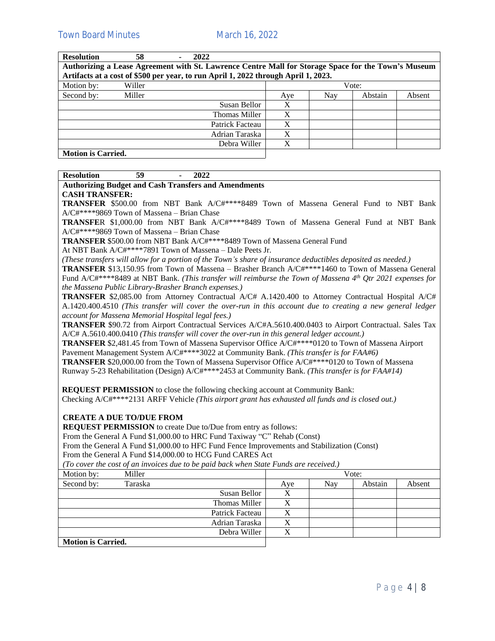| <b>Resolution</b>         | 58     | 2022                                                                                                |     |     |         |        |
|---------------------------|--------|-----------------------------------------------------------------------------------------------------|-----|-----|---------|--------|
|                           |        | Authorizing a Lease Agreement with St. Lawrence Centre Mall for Storage Space for the Town's Museum |     |     |         |        |
|                           |        | Artifacts at a cost of \$500 per year, to run April 1, 2022 through April 1, 2023.                  |     |     |         |        |
| Motion by:                | Willer |                                                                                                     |     |     | Vote:   |        |
| Second by:                | Miller |                                                                                                     | Aye | Nay | Abstain | Absent |
|                           |        | Susan Bellor                                                                                        | Χ   |     |         |        |
|                           |        | Thomas Miller                                                                                       | X   |     |         |        |
|                           |        | Patrick Facteau                                                                                     | X   |     |         |        |
|                           |        | Adrian Taraska                                                                                      | X   |     |         |        |
|                           |        | Debra Willer                                                                                        | X   |     |         |        |
| <b>Motion is Carried.</b> |        |                                                                                                     |     |     |         |        |

| 59<br>2022<br><b>Resolution</b>                                                                                 |
|-----------------------------------------------------------------------------------------------------------------|
| <b>Authorizing Budget and Cash Transfers and Amendments</b>                                                     |
| <b>CASH TRANSFER:</b>                                                                                           |
| TRANSFER \$500.00 from NBT Bank A/C#****8489 Town of Massena General Fund to NBT Bank                           |
| A/C#****9869 Town of Massena – Brian Chase                                                                      |
| TRANSFER \$1,000.00 from NBT Bank A/C#****8489 Town of Massena General Fund at NBT Bank                         |
| A/C#****9869 Town of Massena – Brian Chase                                                                      |
| TRANSFER \$500.00 from NBT Bank A/C#****8489 Town of Massena General Fund                                       |
| At NBT Bank A/C#****7891 Town of Massena – Dale Peets Jr.                                                       |
| (These transfers will allow for a portion of the Town's share of insurance deductibles deposited as needed.)    |
| TRANSFER \$13,150.95 from Town of Massena - Brasher Branch A/C#****1460 to Town of Massena General              |
| Fund A/C#****8489 at NBT Bank. (This transfer will reimburse the Town of Massena 4th Qtr 2021 expenses for      |
| the Massena Public Library-Brasher Branch expenses.)                                                            |
| <b>TRANSFER</b> \$2,085.00 from Attorney Contractual A/C# A.1420.400 to Attorney Contractual Hospital A/C#      |
| A.1420.400.4510 (This transfer will cover the over-run in this account due to creating a new general ledger     |
| account for Massena Memorial Hospital legal fees.)                                                              |
| <b>TRANSFER</b> \$90.72 from Airport Contractual Services A/C#A.5610.400.0403 to Airport Contractual. Sales Tax |
| A/C# A.5610.400.0410 (This transfer will cover the over-run in this general ledger account.)                    |
| <b>TRANSFER</b> \$2,481.45 from Town of Massena Supervisor Office A/C#****0120 to Town of Massena Airport       |
| Pavement Management System A/C#****3022 at Community Bank. (This transfer is for FAA#6)                         |
| <b>TRANSFER</b> \$20,000.00 from the Town of Massena Supervisor Office A/C#****0120 to Town of Massena          |
| Runway 5-23 Rehabilitation (Design) A/C#****2453 at Community Bank. (This transfer is for FAA#14)               |
|                                                                                                                 |
| REQUEST PERMISSION to close the following checking account at Community Bank:                                   |
| Checking A/C#****2131 ARFF Vehicle (This airport grant has exhausted all funds and is closed out.)              |
|                                                                                                                 |
| <b>CREATE A DUE TO/DUE FROM</b>                                                                                 |
| <b>REQUEST PERMISSION</b> to create Due to/Due from entry as follows:                                           |
| From the General A Fund \$1,000.00 to HRC Fund Taxiway "C" Rehab (Const)                                        |
| From the General A Fund \$1,000.00 to HFC Fund Fence Improvements and Stabilization (Const)                     |
| From the General A Fund \$14,000.00 to HCG Fund CARES Act                                                       |
| (To cover the cost of an invoices due to be paid back when State Funds are received.)                           |

| <i>(To cover the cost of an invoices and to be paid back when state I ands are received.)</i> |         |                 |       |     |         |        |  |
|-----------------------------------------------------------------------------------------------|---------|-----------------|-------|-----|---------|--------|--|
| Motion by:                                                                                    | Miller  |                 | Vote: |     |         |        |  |
| Second by:                                                                                    | Taraska |                 | Aye   | Nay | Abstain | Absent |  |
|                                                                                               |         | Susan Bellor    |       |     |         |        |  |
|                                                                                               |         | Thomas Miller   |       |     |         |        |  |
|                                                                                               |         | Patrick Facteau |       |     |         |        |  |
|                                                                                               |         | Adrian Taraska  |       |     |         |        |  |
|                                                                                               |         | Debra Willer    |       |     |         |        |  |
| <b>Motion is Carried.</b>                                                                     |         |                 |       |     |         |        |  |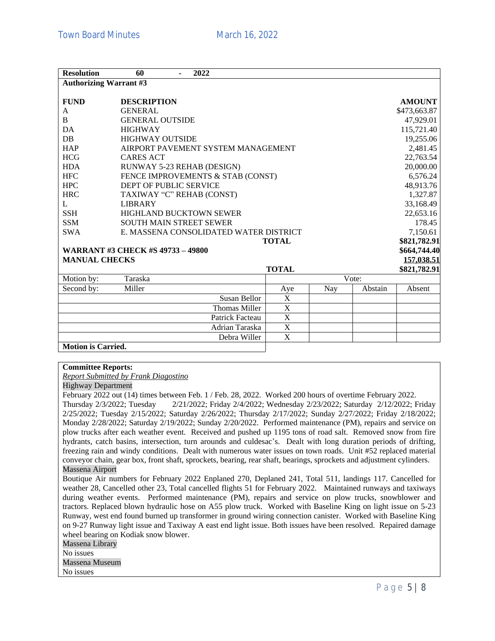| <b>Resolution</b>             | 2022<br>60                               |                              |           |         |               |
|-------------------------------|------------------------------------------|------------------------------|-----------|---------|---------------|
| <b>Authorizing Warrant #3</b> |                                          |                              |           |         |               |
|                               |                                          |                              |           |         |               |
| <b>FUND</b>                   | <b>DESCRIPTION</b>                       |                              |           |         | <b>AMOUNT</b> |
| A                             | <b>GENERAL</b>                           |                              |           |         | \$473,663.87  |
| B                             | <b>GENERAL OUTSIDE</b>                   |                              |           |         | 47,929.01     |
| DA                            | <b>HIGHWAY</b>                           |                              |           |         | 115,721.40    |
| DB                            | <b>HIGHWAY OUTSIDE</b>                   |                              |           |         | 19,255.06     |
| <b>HAP</b>                    | AIRPORT PAVEMENT SYSTEM MANAGEMENT       |                              | 2,481.45  |         |               |
| <b>HCG</b>                    | <b>CARES ACT</b>                         |                              |           |         | 22,763.54     |
| <b>HDA</b>                    | RUNWAY 5-23 REHAB (DESIGN)               |                              |           |         | 20,000.00     |
| <b>HFC</b>                    | FENCE IMPROVEMENTS & STAB (CONST)        |                              |           |         | 6,576.24      |
| <b>HPC</b>                    | DEPT OF PUBLIC SERVICE                   |                              |           |         | 48,913.76     |
| <b>HRC</b>                    | TAXIWAY "C" REHAB (CONST)                |                              |           |         |               |
| L                             | <b>LIBRARY</b>                           |                              | 33,168.49 |         |               |
| <b>SSH</b>                    | HIGHLAND BUCKTOWN SEWER                  |                              | 22,653.16 |         |               |
| <b>SSM</b>                    | <b>SOUTH MAIN STREET SEWER</b>           |                              |           |         |               |
| <b>SWA</b>                    | E. MASSENA CONSOLIDATED WATER DISTRICT   |                              |           |         |               |
|                               |                                          | <b>TOTAL</b>                 |           |         | \$821,782.91  |
|                               | <b>WARRANT #3 CHECK #S 49733 - 49800</b> |                              |           |         | \$664,744.40  |
| <b>MANUAL CHECKS</b>          |                                          |                              |           |         | 157,038.51    |
|                               |                                          | <b>TOTAL</b><br>\$821,782.91 |           |         |               |
| Motion by:                    | Taraska                                  |                              | Vote:     |         |               |
| Second by:                    | Miller                                   | Aye                          | Nay       | Abstain | Absent        |
|                               | Susan Bellor                             | X                            |           |         |               |
|                               | <b>Thomas Miller</b>                     | X                            |           |         |               |
|                               | Patrick Facteau                          | $\mathbf X$                  |           |         |               |
|                               | Adrian Taraska                           | $\overline{\mathbf{X}}$      |           |         |               |
|                               | Debra Willer                             | $\overline{\mathbf{X}}$      |           |         |               |
| <b>Motion is Carried.</b>     |                                          |                              |           |         |               |

# **Committee Reports:**

*Report Submitted by Frank Diagostino*

Highway Department

February 2022 out (14) times between Feb. 1 / Feb. 28, 2022. Worked 200 hours of overtime February 2022.<br>Thursday 2/3/2022; Tuesday 2/21/2022; Friday 2/4/2022; Wednesday 2/23/2022; Saturday 2/12/2022; I 2/21/2022; Friday 2/4/2022; Wednesday 2/23/2022; Saturday 2/12/2022; Friday 2/25/2022; Tuesday 2/15/2022; Saturday 2/26/2022; Thursday 2/17/2022; Sunday 2/27/2022; Friday 2/18/2022; Monday 2/28/2022; Saturday 2/19/2022; Sunday 2/20/2022. Performed maintenance (PM), repairs and service on plow trucks after each weather event. Received and pushed up 1195 tons of road salt. Removed snow from fire hydrants, catch basins, intersection, turn arounds and culdesac's. Dealt with long duration periods of drifting, freezing rain and windy conditions. Dealt with numerous water issues on town roads. Unit #52 replaced material conveyor chain, gear box, front shaft, sprockets, bearing, rear shaft, bearings, sprockets and adjustment cylinders. Massena Airport

Boutique Air numbers for February 2022 Enplaned 270, Deplaned 241, Total 511, landings 117. Cancelled for weather 28, Cancelled other 23, Total cancelled flights 51 for February 2022. Maintained runways and taxiways during weather events. Performed maintenance (PM), repairs and service on plow trucks, snowblower and tractors. Replaced blown hydraulic hose on A55 plow truck. Worked with Baseline King on light issue on 5-23 Runway, west end found burned up transformer in ground wiring connection canister. Worked with Baseline King on 9-27 Runway light issue and Taxiway A east end light issue. Both issues have been resolved. Repaired damage wheel bearing on Kodiak snow blower.

Massena Library No issues Massena Museum No issues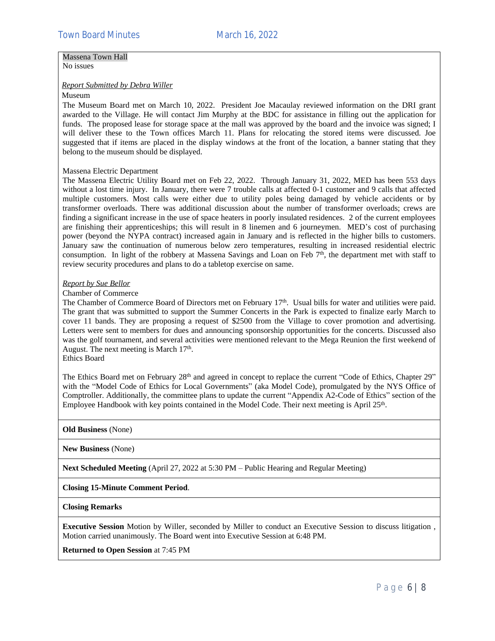# Massena Town Hall

No issues

### *Report Submitted by Debra Willer*

# Museum

The Museum Board met on March 10, 2022. President Joe Macaulay reviewed information on the DRI grant awarded to the Village. He will contact Jim Murphy at the BDC for assistance in filling out the application for funds. The proposed lease for storage space at the mall was approved by the board and the invoice was signed; I will deliver these to the Town offices March 11. Plans for relocating the stored items were discussed. Joe suggested that if items are placed in the display windows at the front of the location, a banner stating that they belong to the museum should be displayed.

# Massena Electric Department

The Massena Electric Utility Board met on Feb 22, 2022. Through January 31, 2022, MED has been 553 days without a lost time injury. In January, there were 7 trouble calls at affected 0-1 customer and 9 calls that affected multiple customers. Most calls were either due to utility poles being damaged by vehicle accidents or by transformer overloads. There was additional discussion about the number of transformer overloads; crews are finding a significant increase in the use of space heaters in poorly insulated residences. 2 of the current employees are finishing their apprenticeships; this will result in 8 linemen and 6 journeymen. MED's cost of purchasing power (beyond the NYPA contract) increased again in January and is reflected in the higher bills to customers. January saw the continuation of numerous below zero temperatures, resulting in increased residential electric consumption. In light of the robbery at Massena Savings and Loan on Feb 7<sup>th</sup>, the department met with staff to review security procedures and plans to do a tabletop exercise on same.

# *Report by Sue Bellor*

#### Chamber of Commerce

The Chamber of Commerce Board of Directors met on February 17<sup>th</sup>. Usual bills for water and utilities were paid. The grant that was submitted to support the Summer Concerts in the Park is expected to finalize early March to cover 11 bands. They are proposing a request of \$2500 from the Village to cover promotion and advertising. Letters were sent to members for dues and announcing sponsorship opportunities for the concerts. Discussed also was the golf tournament, and several activities were mentioned relevant to the Mega Reunion the first weekend of August. The next meeting is March 17<sup>th</sup>.

Ethics Board

The Ethics Board met on February 28<sup>th</sup> and agreed in concept to replace the current "Code of Ethics, Chapter 29" with the "Model Code of Ethics for Local Governments" (aka Model Code), promulgated by the NYS Office of Comptroller. Additionally, the committee plans to update the current "Appendix A2-Code of Ethics" section of the Employee Handbook with key points contained in the Model Code. Their next meeting is April 25<sup>th</sup>.

**Old Business** (None)

**New Business** (None)

**Next Scheduled Meeting** (April 27, 2022 at 5:30 PM – Public Hearing and Regular Meeting)

**Closing 15-Minute Comment Period**.

**Closing Remarks**

**Executive Session** Motion by Willer, seconded by Miller to conduct an Executive Session to discuss litigation , Motion carried unanimously. The Board went into Executive Session at 6:48 PM.

**Returned to Open Session** at 7:45 PM